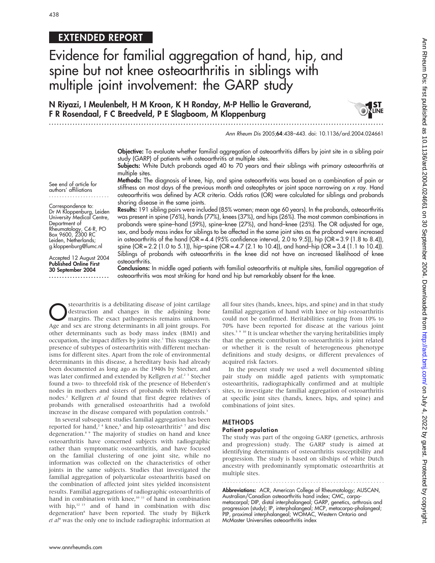### EXTENDED REPORT

# Evidence for familial aggregation of hand, hip, and spine but not knee osteoarthritis in siblings with multiple joint involvement: the GARP study

N Riyazi, I Meulenbelt, H M Kroon, K H Ronday, M-P Hellio le Graverand, F R Rosendaal, F C Breedveld, P E Slagboom, M Kloppenburg

...............................................................................................................................

Ann Rheum Dis 2005;64:438–443. doi: 10.1136/ard.2004.024661

**ST<br>UNE** 

Objective: To evaluate whether familial aggregation of osteoarthritis differs by joint site in a sibling pair study (GARP) of patients with osteoarthritis at multiple sites.

Subjects: White Dutch probands aged 40 to 70 years and their siblings with primary osteoarthritis at multiple sites.

Methods: The diagnosis of knee, hip, and spine osteoarthritis was based on a combination of pain or stiffness on most days of the previous month and osteophytes or joint space narrowing on x ray. Hand osteoarthritis was defined by ACR criteria. Odds ratios (OR) were calculated for siblings and probands sharing disease in the same joints.

Results: 191 sibling pairs were included (85% women; mean age 60 years). In the probands, osteoarthritis was present in spine (76%), hands (77%), knees (37%), and hips (26%). The most common combinations in probands were spine–hand (59%), spine–knee (27%), and hand–knee (25%). The OR adjusted for age, sex, and body mass index for siblings to be affected in the same joint sites as the proband were increased in osteoarthritis of the hand (OR = 4.4 (95% confidence interval, 2.0 to 9.5)), hip (OR = 3.9 (1.8 to 8.4)), spine (OR = 2.2 (1.0 to 5.1)), hip–spine (OR = 4.7 (2.1 to 10.4)), and hand–hip (OR = 3.4 (1.1 to 10.4)). Siblings of probands with osteoarthritis in the knee did not have an increased likelihood of knee osteoarthritis.

See end of article for authors' affiliations

Correspondence to: Dr M Kloppenburg, Leiden University Medical Centre, Department of Rheumatology, C4-R, PO Box 9600, 2300 RC Leiden, Netherlands; g.kloppenburg@lumc.nl

Accepted 12 August 2004 Published Online First 30 September 2004 .......................

Conclusions: In middle aged patients with familial osteoarthritis at multiple sites, familial aggregation of osteoarthritis was most striking for hand and hip but remarkably absent for the knee.

Steoarthritis is a debilitating disease of joint cartilage<br>destruction and changes in the adjoining bone<br>margins. The exact pathogenesis remains unknown.<br>Ass and sex are strong determinants in all joint groups. For destruction and changes in the adjoining bone margins. The exact pathogenesis remains unknown. Age and sex are strong determinants in all joint groups. For other determinants such as body mass index (BMI) and occupation, the impact differs by joint site.<sup>1</sup> This suggests the presence of subtypes of osteoarthritis with different mechanisms for different sites. Apart from the role of environmental determinants in this disease, a hereditary basis had already been documented as long ago as the 1940s by Stecher, and was later confirmed and extended by Kellgren et al.<sup>2</sup><sup>3</sup> Stecher found a two- to threefold risk of the presence of Heberden's nodes in mothers and sisters of probands with Heberden's nodes.2 Kellgren et al found that first degree relatives of probands with generalised osteoarthritis had a twofold increase in the disease compared with population controls.<sup>3</sup>

In several subsequent studies familial aggregation has been reported for hand,<sup>24</sup> knee,<sup>5</sup> and hip osteoarthritis<sup>67</sup> and disc degeneration.<sup>8</sup> <sup>9</sup> The majority of studies on hand and knee osteoarthritis have concerned subjects with radiographic rather than symptomatic osteoarthritis, and have focused on the familial clustering of one joint site, while no information was collected on the characteristics of other joints in the same subjects. Studies that investigated the familial aggregation of polyarticular osteoarthritis based on the combination of affected joint sites yielded inconsistent results. Familial aggregations of radiographic osteoarthritis of hand in combination with knee,<sup>10 11</sup> of hand in combination with  $\text{hip,}^{12\ 13}$  and of hand in combination with disc degeneration<sup>8</sup> have been reported. The study by Bijkerk et  $aI^s$  was the only one to include radiographic information at all four sites (hands, knees, hips, and spine) and in that study familial aggregation of hand with knee or hip osteoarthritis could not be confirmed. Heritabilities ranging from 10% to 70% have been reported for disease at the various joint sites.<sup>5</sup> <sup>9</sup> <sup>10</sup> It is unclear whether the varying heritabilities imply that the genetic contribution to osteoarthritis is joint related or whether it is the result of heterogeneous phenotype definitions and study designs, or different prevalences of acquired risk factors.

In the present study we used a well documented sibling pair study on middle aged patients with symptomatic osteoarthritis, radiographically confirmed and at multiple sites, to investigate the familial aggregation of osteoarthritis at specific joint sites (hands, knees, hips, and spine) and combinations of joint sites.

## METHODS

Patient population

The study was part of the ongoing GARP (genetics, arthrosis and progression) study. The GARP study is aimed at identifying determinants of osteoarthritis susceptibility and progression. The study is based on sibships of white Dutch ancestry with predominantly symptomatic osteoarthritis at multiple sites.

Abbreviations: ACR, American College of Rheumatology; AUSCAN, Australian/Canadian osteoarthritis hand index; CMC, carpometacarpal; DIP, distal interphalangeal; GARP, genetics, arthrosis and progression (study); IP, interphalangeal; MCP, metacarpo-phalangeal; PIP, proximal interphalangeal; WOMAC, Western Ontario and McMaster Universities osteoarthritis index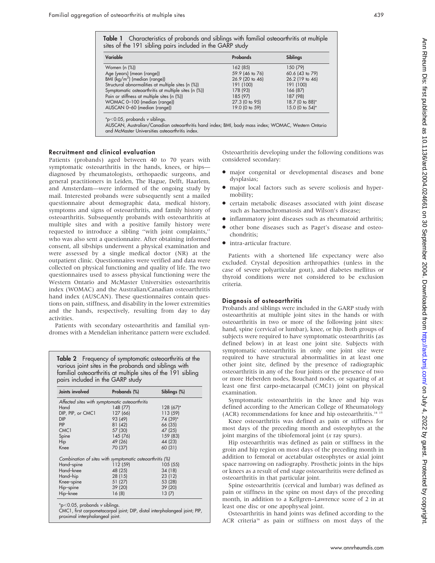Table 1 Characteristics of probands and siblings with familial osteoarthritis at multiple sites of the 191 sibling pairs included in the GARP study

| Variable                                             | <b>Probands</b> | Siblings        |
|------------------------------------------------------|-----------------|-----------------|
| Women (n (%))                                        | 162 (85)        | 150 (79)        |
| Age (years) (mean (range))                           | 59.9 (46 to 76) | 60.6 (43 to 79) |
| BMI $(kg/m^2)$ (median (range))                      | 26.9 (20 to 46) | 26.2 (19 to 46) |
| Structural abnormalities at multiple sites (n (%))   | 191 (100)       | 191 (100)       |
| Symptomatic osteoarthritis at multiple sites (n (%)) | 178 (93)        | 166 (87)        |
| Pain or stiffness at multiple sites (n (%))          | 185 (97)        | 187 (98)        |
| WOMAC 0-100 (median (range))                         | 27.3 (0 to 95)  | 18.7 (0 to 88)* |
| AUSCAN 0-60 (median (range))                         | 19.0 (0 to 59)  | 15.0 (0 to 54)* |

 $p<$ 0.05, probands v siblings

AUSCAN, Australian/Canadian osteoarthritis hand index; BMI, body mass index; WOMAC, Western Ontario and McMaster Universities osteoarthritis index.

#### Recruitment and clinical evaluation

Patients (probands) aged between 40 to 70 years with symptomatic osteoarthritis in the hands, knees, or hips diagnosed by rheumatologists, orthopaedic surgeons, and general practitioners in Leiden, The Hague, Delft, Haarlem, and Amsterdam—were informed of the ongoing study by mail. Interested probands were subsequently sent a mailed questionnaire about demographic data, medical history, symptoms and signs of osteoarthritis, and family history of osteoarthritis. Subsequently probands with osteoarthritis at multiple sites and with a positive family history were requested to introduce a sibling ''with joint complaints,'' who was also sent a questionnaire. After obtaining informed consent, all sibships underwent a physical examination and were assessed by a single medical doctor (NR) at the outpatient clinic. Questionnaires were verified and data were collected on physical functioning and quality of life. The two questionnaires used to assess physical functioning were the Western Ontario and McMaster Universities osteoarthritis index (WOMAC) and the Australian/Canadian osteoarthritis hand index (AUSCAN). These questionnaires contain questions on pain, stiffness, and disability in the lower extremities and the hands, respectively, resulting from day to day activities.

Patients with secondary osteoarthritis and familial syndromes with a Mendelian inheritance pattern were excluded.

Table 2 Frequency of symptomatic osteoarthritis at the various joint sites in the probands and siblings with familial osteoarthritis at multiple sites of the 191 sibling pairs included in the GARP study

| Joints involved                                          | Probands (%) | Siblings (%) |
|----------------------------------------------------------|--------------|--------------|
| Affected sites with symptomatic osteoarthritis           |              |              |
| Hand                                                     | 148 (77)     | 128 (67)*    |
| DIP, PIP, or CMC1                                        | 127 (66)     | 113 (59)     |
| <b>DIP</b>                                               | 93 (49)      | 74 (39)*     |
| <b>PIP</b>                                               | 81 (42)      | 66 (35)      |
| CMC <sub>1</sub>                                         | 57 (30)      | 47 (25)      |
| Spine                                                    | 145 (76)     | 159 (83)     |
| Hip                                                      | 49 (26)      | 44 (23)      |
| Knee                                                     | 70 (37)      | 60 (31)      |
| Combination of sites with symptomatic osteoarthritis (%) |              |              |
| Hand-spine                                               | 112 (59)     | 105(55)      |
| Hand-knee                                                | 48 (25)      | 34 (18)      |
| Hand-hip                                                 | 28 (15)      | 23 (12)      |
| Knee-spine                                               | 51 (27)      | 53 (28)      |
| Hip-spine                                                | 39 (20)      | 39 (20)      |
| Hip-knee                                                 | 16(8)        | 13(7)        |

 $^{\star}$ p $<$ 0.05, probands v siblings.

CMC1, first carpometacarpal joint; DIP, distal interphalangeal joint; PIP, proximal interphalangeal joint.

Osteoarthritis developing under the following conditions was considered secondary:

- major congenital or developmental diseases and bone dysplasias;
- $\bullet$  major local factors such as severe scoliosis and hypermobility;
- N certain metabolic diseases associated with joint disease such as haemochromatosis and Wilson's disease;
- $\bullet$  inflammatory joint diseases such as rheumatoid arthritis;
- other bone diseases such as Paget's disease and osteochondritis;
- $\bullet$  intra-articular fracture.

Patients with a shortened life expectancy were also excluded. Crystal deposition arthropathies (unless in the case of severe polyarticular gout), and diabetes mellitus or thyroid conditions were not considered to be exclusion criteria.

#### Diagnosis of osteoarthritis

Probands and siblings were included in the GARP study with osteoarthritis at multiple joint sites in the hands or with osteoarthritis in two or more of the following joint sites: hand, spine (cervical or lumbar), knee, or hip. Both groups of subjects were required to have symptomatic osteoarthritis (as defined below) in at least one joint site. Subjects with symptomatic osteoarthritis in only one joint site were required to have structural abnormalities in at least one other joint site, defined by the presence of radiographic osteoarthritis in any of the four joints or the presence of two or more Heberden nodes, Bouchard nodes, or squaring of at least one first carpo-metacarpal (CMC1) joint on physical examination.

Symptomatic osteoarthritis in the knee and hip was defined according to the American College of Rheumatology (ACR) recommendations for knee and hip osteoarthritis.<sup>14 1</sup>

Knee osteoarthritis was defined as pain or stiffness for most days of the preceding month and osteophytes at the joint margins of the tibiofemoral joint (x ray spurs).

Hip osteoarthritis was defined as pain or stiffness in the groin and hip region on most days of the preceding month in addition to femoral or acetabular osteophytes or axial joint space narrowing on radiography. Prosthetic joints in the hips or knees as a result of end stage osteoarthritis were defined as osteoarthritis in that particular joint.

Spine osteoarthritis (cervical and lumbar) was defined as pain or stiffness in the spine on most days of the preceding month, in addition to a Kellgren–Lawrence score of 2 in at least one disc or one apophyseal joint.

Osteoarthritis in hand joints was defined according to the ACR criteria<sup>16</sup> as pain or stiffness on most days of the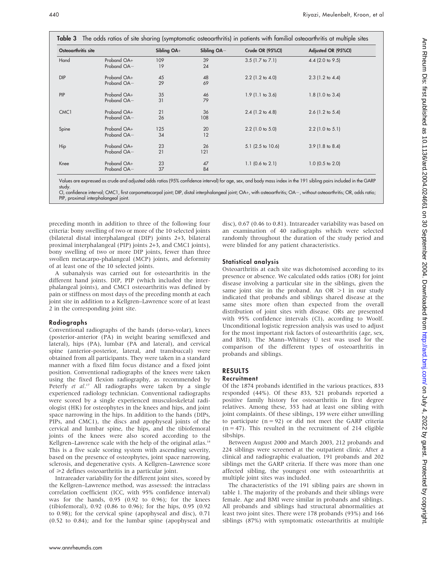| Osteoarthritis site |                            | Sibling OA+ | Sibling OA- | Crude OR (95%CI)            | Adjusted OR (95%CI)        |
|---------------------|----------------------------|-------------|-------------|-----------------------------|----------------------------|
| Hand                | Proband OA+<br>Proband OA- | 109<br>19   | 39<br>24    | $3.5$ (1.7 to 7.1)          | $4.4$ (2.0 to 9.5)         |
| <b>DIP</b>          | Proband OA+<br>Proband OA- | 45<br>29    | 48<br>69    | $2.2$ (1.2 to 4.0)          | $2.3$ (1.2 to 4.4)         |
| PIP                 | Proband OA+<br>Proband OA- | 35<br>31    | 46<br>79    | $1.9$ (1.1 to 3.6)          | $1.8$ (1.0 to 3.4)         |
| CMC <sub>1</sub>    | Proband OA+<br>Proband OA- | 21<br>26    | 36<br>108   | $2.4$ (1.2 to 4.8)          | $2.6$ (1.2 to 5.4)         |
| Spine               | Proband OA+<br>Proband OA- | 125<br>34   | 20<br>12    | $2.2$ (1.0 to 5.0)          | $2.2$ (1.0 to 5.1)         |
| Hip                 | Proband OA+<br>Proband OA- | 23<br>21    | 26<br>121   | $5.1$ (2.5 to 10.6)         | $3.9(1.8 \text{ to } 8.4)$ |
| Knee                | Proband OA+<br>Proband OA- | 23<br>37    | 47<br>84    | 1.1 $(0.6 \text{ to } 2.1)$ | $1.0$ (0.5 to 2.0)         |

Values are expressed as crude and adjusted odds ratios (95% confidence interval) for age, sex, and body mass index in the 191 sibling pairs included in the GARP study.

CI, confidence interval; CMC1, first carpometacarpal joint; DIP, distal interphalangeal joint; OA+, with osteoarthritis; OA2, without osteoarthritis; OR, odds ratio; PIP, proximal interphalangeal joint.

preceding month in addition to three of the following four criteria: bony swelling of two or more of the 10 selected joints (bilateral distal interphalangeal (DIP) joints 2+3, bilateral proximal interphalangeal (PIP) joints 2+3, and CMC1 joints), bony swelling of two or more DIP joints, fewer than three swollen metacarpo-phalangeal (MCP) joints, and deformity of at least one of the 10 selected joints.

A subanalysis was carried out for osteoarthritis in the different hand joints. DIP, PIP (which included the interphalangeal joints), and CMC1 osteoarthritis was defined by pain or stiffness on most days of the preceding month at each joint site in addition to a Kellgren–Lawrence score of at least 2 in the corresponding joint site.

#### Radiographs

Conventional radiographs of the hands (dorso-volar), knees (posterior-anterior (PA) in weight bearing semiflexed and lateral), hips (PA), lumbar (PA and lateral), and cervical spine (anterior-posterior, lateral, and transbuccal) were obtained from all participants. They were taken in a standard manner with a fixed film focus distance and a fixed joint position. Conventional radiographs of the knees were taken using the fixed flexion radiography, as recommended by Peterfy et al.<sup>17</sup> All radiographs were taken by a single experienced radiology technician. Conventional radiographs were scored by a single experienced musculoskeletal radiologist (HK) for osteophytes in the knees and hips, and joint space narrowing in the hips. In addition to the hands (DIPs, PIPs, and CMC1), the discs and apophyseal joints of the cervical and lumbar spine, the hips, and the tibiofemoral joints of the knees were also scored according to the Kellgren–Lawrence scale with the help of the original atlas.<sup>18</sup> This is a five scale scoring system with ascending severity, based on the presence of osteophytes, joint space narrowing, sclerosis, and degenerative cysts. A Kellgren–Lawrence score of  $\geq$  2 defines osteoarthritis in a particular joint.

Intrareader variability for the different joint sites, scored by the Kellgren–Lawrence method, was assessed: the intraclass correlation coefficient (ICC, with 95% confidence interval) was for the hands, 0.95 (0.92 to 0.96); for the knees (tibiofemoral), 0.92 (0.86 to 0.96); for the hips, 0.95 (0.92 to 0.98); for the cervical spine (apophyseal and disc), 0.71 (0.52 to 0.84); and for the lumbar spine (apophyseal and

disc), 0.67 (0.46 to 0.81). Intrareader variability was based on an examination of 40 radiographs which were selected randomly throughout the duration of the study period and were blinded for any patient characteristics.

#### Statistical analysis

Osteoarthritis at each site was dichotomised according to its presence or absence. We calculated odds ratios (OR) for joint disease involving a particular site in the siblings, given the same joint site in the proband. An  $OR$  >1 in our study indicated that probands and siblings shared disease at the same sites more often than expected from the overall distribution of joint sites with disease. ORs are presented with 95% confidence intervals (CI), according to Woolf. Unconditional logistic regression analysis was used to adjust for the most important risk factors of osteoarthritis (age, sex, and BMI). The Mann–Whitney U test was used for the comparison of the different types of osteoarthritis in probands and siblings.

#### RESULTS

#### Recruitment

Of the 1874 probands identified in the various practices, 833 responded (44%). Of these 833, 521 probands reported a positive family history for osteoarthritis in first degree relatives. Among these, 353 had at least one sibling with joint complaints. Of these siblings, 139 were either unwilling to participate  $(n = 92)$  or did not meet the GARP criteria  $(n = 47)$ . This resulted in the recruitment of 214 eligible sibships.

Between August 2000 and March 2003, 212 probands and 224 siblings were screened at the outpatient clinic. After a clinical and radiographic evaluation, 191 probands and 202 siblings met the GARP criteria. If there was more than one affected sibling, the youngest one with osteoarthritis at multiple joint sites was included.

The characteristics of the 191 sibling pairs are shown in table 1. The majority of the probands and their siblings were female. Age and BMI were similar in probands and siblings. All probands and siblings had structural abnormalities at least two joint sites. There were 178 probands (93%) and 166 siblings (87%) with symptomatic osteoarthritis at multiple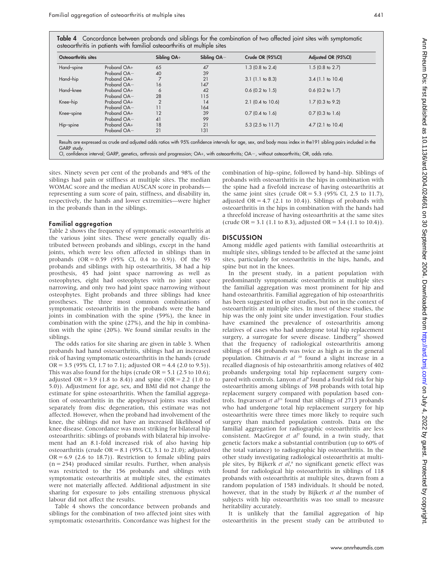Table 4 Concordance between probands and siblings for the combination of two affected joint sites with symptomatic osteoarthritis in patients with familial osteoarthritis at multiple sites

| Osteoarthritis sites |                          | Sibling OA+    | Sibling OA- | Crude OR (95%CI)   | Adjusted OR (95%CI) |
|----------------------|--------------------------|----------------|-------------|--------------------|---------------------|
| Hand-spine           | Proband OA+<br>65        |                | 47          | $1.3$ (0.8 to 2.4) | $1.5$ (0.8 to 2.7)  |
|                      | Proband OA-              | 40             | 39          |                    |                     |
| Hand-hip             | Proband OA+              |                | 21          | $3.1$ (1.1 to 8.3) | $3.4$ (1.1 to 10.4) |
|                      | Proband OA-              | 16             | 147         |                    |                     |
| Hand-knee            | Proband OA+              | 6              | 42          | $0.6$ (0.2 to 1.5) | $0.6$ (0.2 to 1.7)  |
|                      | Proband OA-              | 28             | 115         |                    |                     |
| Knee-hip             | Proband OA+              | $\overline{2}$ | 14          | 2.1 (0.4 to 10.6)  | $1.7$ (0.3 to 9.2)  |
|                      | Proband OA-              | 11             | 164         |                    |                     |
| Knee-spine           | Proband OA+              | 12             | 39          | $0.7$ (0.4 to 1.6) | $0.7$ (0.3 to 1.6)  |
|                      | Proband OA-              | 41             | 99          |                    |                     |
| Hip-spine            | Proband OA+              | 18             | 21          | 5.3 (2.5 to 11.7)  | $4.7$ (2.1 to 10.4) |
|                      | Proband OA-<br>21<br>131 |                |             |                    |                     |

CI, confidence interval; GARP, genetics, arthrosis and progression; OA+, with osteoarthritis; OA–, without osteoarthritis; OR, odds ratio.

sites. Ninety seven per cent of the probands and 98% of the siblings had pain or stiffness at multiple sites. The median WOMAC score and the median AUSCAN score in probands representing a sum score of pain, stiffness, and disability in, respectively, the hands and lower extremities—were higher in the probands than in the siblings.

#### Familial aggregation

Table 2 shows the frequency of symptomatic osteoarthritis at the various joint sites. These were generally equally distributed between probands and siblings, except in the hand joints, which were less often affected in siblings than in probands  $(OR = 0.59 \ (95\% \ CL \ 0.4 \ to \ 0.9)).$  Of the 93 probands and siblings with hip osteoarthritis, 38 had a hip prosthesis, 45 had joint space narrowing as well as osteophytes, eight had osteophytes with no joint space narrowing, and only two had joint space narrowing without osteophytes. Eight probands and three siblings had knee prostheses. The three most common combinations of symptomatic osteoarthritis in the probands were the hand joints in combination with the spine (59%), the knee in combination with the spine (27%), and the hip in combination with the spine (20%). We found similar results in the siblings.

The odds ratios for site sharing are given in table 3. When probands had hand osteoarthritis, siblings had an increased risk of having symptomatic osteoarthritis in the hands (crude  $OR = 3.5$  (95% CI, 1.7 to 7.1); adjusted  $OR = 4.4$  (2.0 to 9.5)). This was also found for the hips (crude  $OR = 5.1$  (2.5 to 10.6); adjusted OR = 3.9 (1.8 to 8.4)) and spine (OR = 2.2 (1.0 to 5.0)). Adjustment for age, sex, and BMI did not change the estimate for spine osteoarthritis. When the familial aggregation of osteoarthritis in the apophyseal joints was studied separately from disc degeneration, this estimate was not affected. However, when the proband had involvement of the knee, the siblings did not have an increased likelihood of knee disease. Concordance was most striking for bilateral hip osteoarthritis: siblings of probands with bilateral hip involvement had an 8.1-fold increased risk of also having hip osteoarthritis (crude  $OR = 8.1$  (95% CI, 3.1 to 21.0); adjusted  $OR = 6.9$  (2.6 to 18.7)). Restriction to female sibling pairs  $(n = 254)$  produced similar results. Further, when analysis was restricted to the 156 probands and siblings with symptomatic osteoarthritis at multiple sites, the estimates were not materially affected. Additional adjustment in site sharing for exposure to jobs entailing strenuous physical labour did not affect the results.

Table 4 shows the concordance between probands and siblings for the combination of two affected joint sites with symptomatic osteoarthritis. Concordance was highest for the combination of hip–spine, followed by hand–hip. Siblings of probands with osteoarthritis in the hips in combination with the spine had a fivefold increase of having osteoarthritis at the same joint sites (crude  $OR = 5.3$  (95% CI, 2.5 to 11.7), adjusted  $OR = 4.7$  (2.1 to 10.4)). Siblings of probands with osteoarthritis in the hips in combination with the hands had a threefold increase of having osteoarthritis at the same sites (crude  $OR = 3.1$  (1.1 to 8.3), adjusted  $OR = 3.4$  (1.1 to 10.4)).

#### DISCUSSION

Among middle aged patients with familial osteoarthritis at multiple sites, siblings tended to be affected at the same joint sites, particularly for osteoarthritis in the hips, hands, and spine but not in the knees.

In the present study, in a patient population with predominantly symptomatic osteoarthritis at multiple sites the familial aggregation was most prominent for hip and hand osteoarthritis. Familial aggregation of hip osteoarthritis has been suggested in other studies, but not in the context of osteoarthritis at multiple sites. In most of these studies, the hip was the only joint site under investigation. Four studies have examined the prevalence of osteoarthritis among relatives of cases who had undergone total hip replacement surgery, a surrogate for severe disease. Lindberg<sup>19</sup> showed that the frequency of radiological osteoarthritis among siblings of 184 probands was twice as high as in the general population. Chitnavis et al  $20$  found a slight increase in a recalled diagnosis of hip osteoarthritis among relatives of 402 probands undergoing total hip replacement surgery compared with controls. Lanyon et al<sup>6</sup> found a fourfold risk for hip osteoarthritis among siblings of 398 probands with total hip replacement surgery compared with population based controls. Ingvarsson et  $aI^{21}$  found that siblings of 2713 probands who had undergone total hip replacement surgery for hip osteoarthritis were three times more likely to require such surgery than matched population controls. Data on the familial aggregation for radiographic osteoarthritis are less consistent. MacGregor et  $al^7$  found, in a twin study, that genetic factors make a substantial contribution (up to 60% of the total variance) to radiographic hip osteoarthritis. In the other study investigating radiological osteoarthritis at multiple sites, by Bijkerk et al,<sup>8</sup> no significant genetic effect was found for radiological hip osteoarthritis in siblings of 118 probands with osteoarthritis at multiple sites, drawn from a random population of 1583 individuals. It should be noted, however, that in the study by Bijkerk et al the number of subjects with hip osteoarthritis was too small to measure heritability accurately.

It is unlikely that the familial aggregation of hip osteoarthritis in the present study can be attributed to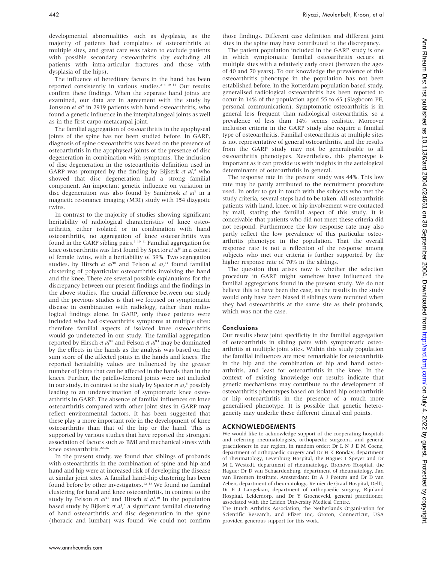developmental abnormalities such as dysplasia, as the majority of patients had complaints of osteoarthritis at multiple sites, and great care was taken to exclude patients with possible secondary osteoarthritis (by excluding all patients with intra-articular fractures and those with dysplasia of the hips).

The influence of hereditary factors in the hand has been reported consistently in various studies.<sup>2-4 10 11</sup> Our results confirm these findings. When the separate hand joints are examined, our data are in agreement with the study by Jonsson et al<sup>4</sup> in 2919 patients with hand osteoarthritis, who found a genetic influence in the interphalangeal joints as well as in the first carpo-metacarpal joint.

The familial aggregation of osteoarthritis in the apophyseal joints of the spine has not been studied before. In GARP, diagnosis of spine osteoarthritis was based on the presence of osteoarthritis in the apophyseal joints or the presence of disc degeneration in combination with symptoms. The inclusion of disc degeneration in the osteoarthritis definition used in GARP was prompted by the finding by Bijkerk et al,<sup>8</sup> who showed that disc degeneration had a strong familial component. An important genetic influence on variation in disc degeneration was also found by Sambrook et  $al^9$  in a magnetic resonance imaging (MRI) study with 154 dizygotic twins.

In contrast to the majority of studies showing significant heritability of radiological characteristics of knee osteoarthritis, either isolated or in combination with hand osteoarthritis, no aggregation of knee osteoarthritis was found in the GARP sibling pairs.5 10 11 Familial aggregation for knee osteoarthritis was first found by Spector et al<sup>5</sup> in a cohort of female twins, with a heritability of 39%. Two segregation studies, by Hirsch et al<sup>10</sup> and Felson et al,<sup>11</sup> found familial clustering of polyarticular osteoarthritis involving the hand and the knee. There are several possible explanations for the discrepancy between our present findings and the findings in the above studies. The crucial difference between our study and the previous studies is that we focused on symptomatic disease in combination with radiology, rather than radiological findings alone. In GARP, only those patients were included who had osteoarthritis symptoms at multiple sites; therefore familial aspects of isolated knee osteoarthritis would go undetected in our study. The familial aggregation reported by Hirsch et al<sup>10</sup> and Felson et al<sup>11</sup> may be dominated by the effects in the hands as the analysis was based on the sum score of the affected joints in the hands and knees. The reported heritability values are influenced by the greater number of joints that can be affected in the hands than in the knees. Further, the patello-femoral joints were not included in our study, in contrast to the study by Spector et al,<sup>5</sup> possibly leading to an underestimation of symptomatic knee osteoarthritis in GARP. The absence of familial influences on knee osteoarthritis compared with other joint sites in GARP may reflect environmental factors. It has been suggested that these play a more important role in the development of knee osteoarthritis than that of the hip or the hand. This is supported by various studies that have reported the strongest association of factors such as BMI and mechanical stress with knee osteoarthritis.<sup>22-26</sup>

In the present study, we found that siblings of probands with osteoarthritis in the combination of spine and hip and hand and hip were at increased risk of developing the disease at similar joint sites. A familial hand–hip clustering has been found before by other investigators.12 13 We found no familial clustering for hand and knee osteoarthritis, in contrast to the study by Felson et  $al^{11}$  and Hirsch et  $al^{10}$  In the population based study by Bijkerk et al,<sup>8</sup> a significant familial clustering of hand osteoarthritis and disc degeneration in the spine (thoracic and lumbar) was found. We could not confirm those findings. Different case definition and different joint sites in the spine may have contributed to the discrepancy.

The patient population included in the GARP study is one in which symptomatic familial osteoarthritis occurs at multiple sites with a relatively early onset (between the ages of 40 and 70 years). To our knowledge the prevalence of this osteoarthritis phenotype in the population has not been established before. In the Rotterdam population based study, generalised radiological osteoarthritis has been reported to occur in 14% of the population aged 55 to 65 (Slagboom PE, personal communication). Symptomatic osteoarthritis is in general less frequent than radiological osteoarthritis, so a prevalence of less than 14% seems realistic. Moreover inclusion criteria in the GARP study also require a familial type of osteoarthritis. Familial osteoarthritis at multiple sites is not representative of general osteoarthritis, and the results from the GARP study may not be generalisable to all osteoarthritis phenotypes. Nevertheless, this phenotype is important as it can provide us with insights in the aetiological determinants of osteoarthritis in general.

The response rate in the present study was 44%. This low rate may be partly attributed to the recruitment procedure used. In order to get in touch with the subjects who met the study criteria, several steps had to be taken. All osteoarthritis patients with hand, knee, or hip involvement were contacted by mail, stating the familial aspect of this study. It is conceivable that patients who did not meet these criteria did not respond. Furthermore the low response rate may also partly reflect the low prevalence of this particular osteoarthritis phenotype in the population. That the overall response rate is not a reflection of the response among subjects who met our criteria is further supported by the higher response rate of 70% in the siblings.

The question that arises now is whether the selection procedure in GARP might somehow have influenced the familial aggregations found in the present study. We do not believe this to have been the case, as the results in the study would only have been biased if siblings were recruited when they had osteoarthritis at the same site as their probands, which was not the case.

#### Conclusions

Our results show joint specificity in the familial aggregation of osteoarthritis in sibling pairs with symptomatic osteoarthritis at multiple joint sites. Within this study population the familial influences are most remarkable for osteoarthritis in the hip and the combination of hip and hand osteoarthritis, and least for osteoarthritis in the knee. In the context of existing knowledge our results indicate that genetic mechanisms may contribute to the development of osteoarthritis phenotypes based on isolated hip osteoarthritis or hip osteoarthritis in the presence of a much more generalised phenotype. It is possible that genetic heterogeneity may underlie these different clinical end points.

#### ACKNOWLEDGEMENTS

We would like to acknowledge support of the cooperating hospitals and referring rheumatologists, orthopaedic surgeons, and general practitioners in our region, in random order: Dr L N J E M Coene, department of orthopaedic surgery and Dr H K Ronday, department of rheumatology, Leyenburg Hospital, the Hague; I Speyer and Dr M L Westedt, department of rheumatology, Bronovo Hospital, the Hague; Dr D van Schaardenburg, department of rheumatology, Jan van Breemen Institute, Amsterdam; Dr A J Peeters and Dr D van Zeben, department of rheumatology, Reinier de Graaf Hospital, Delft; Dr E J Langelaan, department of orthopaedic surgery, Rijnland Hospital, Leiderdorp, and Dr Y Groeneveld, general practitioner, associated with the Leiden University Medical Centre.

The Dutch Arthritis Association, the Netherlands Organisation for Scientific Research, and Pfizer Inc, Groton, Connecticut, USA provided generous support for this work.